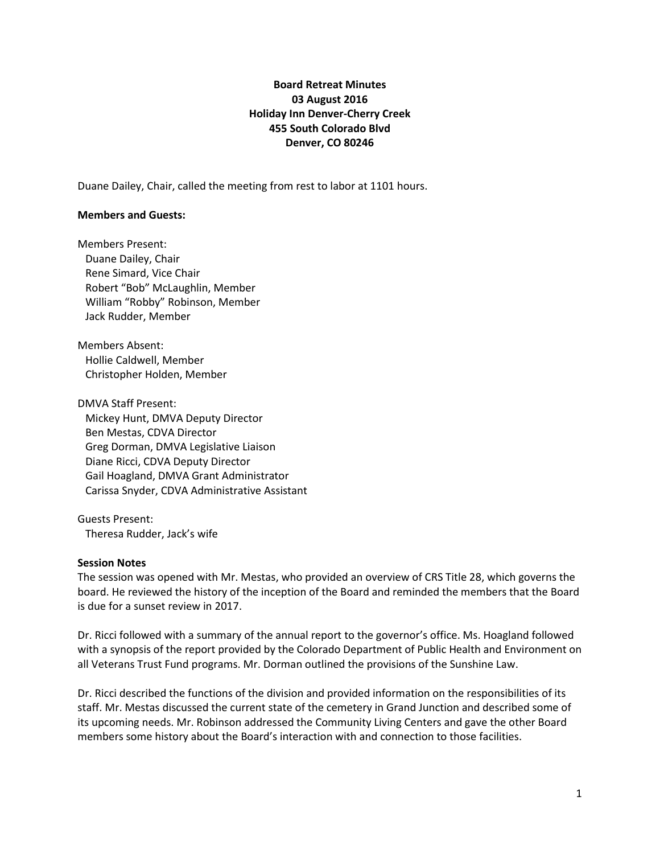# **Board Retreat Minutes 03 August 2016 Holiday Inn Denver-Cherry Creek 455 South Colorado Blvd Denver, CO 80246**

Duane Dailey, Chair, called the meeting from rest to labor at 1101 hours.

#### **Members and Guests:**

Members Present: Duane Dailey, Chair Rene Simard, Vice Chair Robert "Bob" McLaughlin, Member William "Robby" Robinson, Member Jack Rudder, Member

Members Absent: Hollie Caldwell, Member Christopher Holden, Member

DMVA Staff Present: Mickey Hunt, DMVA Deputy Director Ben Mestas, CDVA Director Greg Dorman, DMVA Legislative Liaison Diane Ricci, CDVA Deputy Director Gail Hoagland, DMVA Grant Administrator Carissa Snyder, CDVA Administrative Assistant

Guests Present: Theresa Rudder, Jack's wife

## **Session Notes**

The session was opened with Mr. Mestas, who provided an overview of CRS Title 28, which governs the board. He reviewed the history of the inception of the Board and reminded the members that the Board is due for a sunset review in 2017.

Dr. Ricci followed with a summary of the annual report to the governor's office. Ms. Hoagland followed with a synopsis of the report provided by the Colorado Department of Public Health and Environment on all Veterans Trust Fund programs. Mr. Dorman outlined the provisions of the Sunshine Law.

Dr. Ricci described the functions of the division and provided information on the responsibilities of its staff. Mr. Mestas discussed the current state of the cemetery in Grand Junction and described some of its upcoming needs. Mr. Robinson addressed the Community Living Centers and gave the other Board members some history about the Board's interaction with and connection to those facilities.